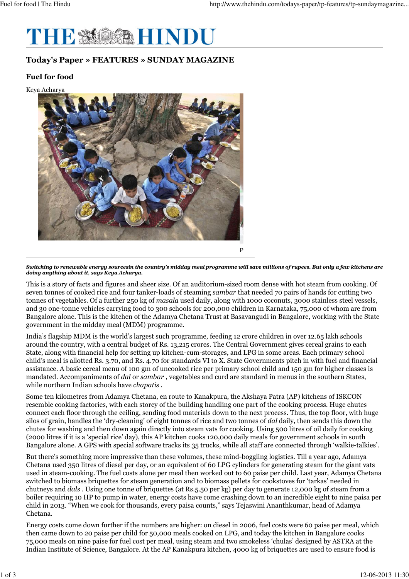

## Today's Paper » FEATURES » SUNDAY MAGAZINE

## Fuel for food

Keya Acharya



Switching to renewable energy sourcesin the country's midday meal programme will save millions of rupees. But only a few kitchens are doing anything about it, says Keya Acharya.

This is a story of facts and figures and sheer size. Of an auditorium-sized room dense with hot steam from cooking. Of seven tonnes of cooked rice and four tanker-loads of steaming sambar that needed 70 pairs of hands for cutting two tonnes of vegetables. Of a further 250 kg of masala used daily, along with 1000 coconuts, 3000 stainless steel vessels, and 30 one-tonne vehicles carrying food to 300 schools for 200,000 children in Karnataka, 75,000 of whom are from Bangalore alone. This is the kitchen of the Adamya Chetana Trust at Basavangudi in Bangalore, working with the State government in the midday meal (MDM) programme.

India's flagship MDM is the world's largest such programme, feeding 12 crore children in over 12.65 lakh schools around the country, with a central budget of Rs. 13,215 crores. The Central Government gives cereal grains to each State, along with financial help for setting up kitchen-cum-storages, and LPG in some areas. Each primary school child's meal is allotted Rs. 3.70, and Rs. 4.70 for standards VI to X. State Governments pitch in with fuel and financial assistance. A basic cereal menu of 100 gm of uncooked rice per primary school child and 150 gm for higher classes is mandated. Accompaniments of dal or sambar , vegetables and curd are standard in menus in the southern States, while northern Indian schools have chapatis .

Some ten kilometres from Adamya Chetana, en route to Kanakpura, the Akshaya Patra (AP) kitchens of ISKCON resemble cooking factories, with each storey of the building handling one part of the cooking process. Huge chutes connect each floor through the ceiling, sending food materials down to the next process. Thus, the top floor, with huge silos of grain, handles the 'dry-cleaning' of eight tonnes of rice and two tonnes of dal daily, then sends this down the chutes for washing and then down again directly into steam vats for cooking. Using 500 litres of oil daily for cooking (2000 litres if it is a 'special rice' day), this AP kitchen cooks 120,000 daily meals for government schools in south Bangalore alone. A GPS with special software tracks its 35 trucks, while all staff are connected through 'walkie-talkies'.

But there's something more impressive than these volumes, these mind-boggling logistics. Till a year ago, Adamya Chetana used 350 litres of diesel per day, or an equivalent of 60 LPG cylinders for generating steam for the giant vats used in steam-cooking. The fuel costs alone per meal then worked out to 60 paise per child. Last year, Adamya Chetana switched to biomass briquettes for steam generation and to biomass pellets for cookstoves for 'tarkas' needed in chutneys and dals . Using one tonne of briquettes (at Rs.5.50 per kg) per day to generate 12,000 kg of steam from a boiler requiring 10 HP to pump in water, energy costs have come crashing down to an incredible eight to nine paisa per child in 2013. "When we cook for thousands, every paisa counts," says Tejaswini Ananthkumar, head of Adamya Chetana.

Energy costs come down further if the numbers are higher: on diesel in 2006, fuel costs were 60 paise per meal, which then came down to 20 paise per child for 50,000 meals cooked on LPG, and today the kitchen in Bangalore cooks 75,000 meals on nine paise for fuel cost per meal, using steam and two smokeless 'chulas' designed by ASTRA at the Indian Institute of Science, Bangalore. At the AP Kanakpura kitchen, 4000 kg of briquettes are used to ensure food is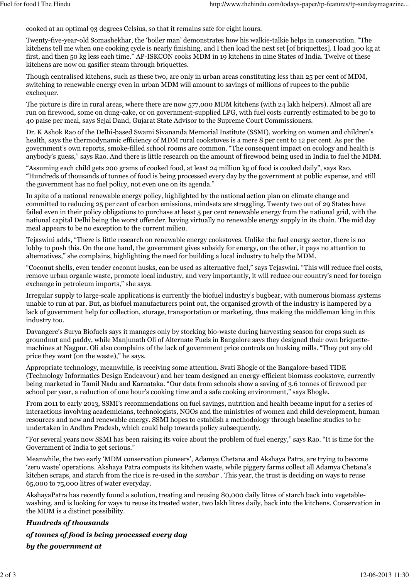cooked at an optimal 93 degrees Celsius, so that it remains safe for eight hours.

Twenty-five-year-old Somashekhar, the 'boiler man' demonstrates how his walkie-talkie helps in conservation. "The kitchens tell me when one cooking cycle is nearly finishing, and I then load the next set [of briquettes]. I load 300 kg at first, and then 50 kg less each time." AP-ISKCON cooks MDM in 19 kitchens in nine States of India. Twelve of these kitchens are now on gasifier steam through briquettes.

Though centralised kitchens, such as these two, are only in urban areas constituting less than 25 per cent of MDM, switching to renewable energy even in urban MDM will amount to savings of millions of rupees to the public exchequer.

The picture is dire in rural areas, where there are now 577,000 MDM kitchens (with 24 lakh helpers). Almost all are run on firewood, some on dung-cake, or on government-supplied LPG, with fuel costs currently estimated to be 30 to 40 paise per meal, says Sejal Dand, Gujarat State Advisor to the Supreme Court Commissioners.

Dr. K Ashok Rao of the Delhi-based Swami Sivananda Memorial Institute (SSMI), working on women and children's health, says the thermodynamic efficiency of MDM rural cookstoves is a mere 8 per cent to 12 per cent. As per the government's own reports, smoke-filled school rooms are common. "The consequent impact on ecology and health is anybody's guess," says Rao. And there is little research on the amount of firewood being used in India to fuel the MDM.

"Assuming each child gets 200 grams of cooked food, at least 24 million kg of food is cooked daily", says Rao. "Hundreds of thousands of tonnes of food is being processed every day by the government at public expense, and still the government has no fuel policy, not even one on its agenda."

In spite of a national renewable energy policy, highlighted by the national action plan on climate change and committed to reducing 25 per cent of carbon emissions, mindsets are straggling. Twenty two out of 29 States have failed even in their policy obligations to purchase at least 5 per cent renewable energy from the national grid, with the national capital Delhi being the worst offender, having virtually no renewable energy supply in its chain. The mid day meal appears to be no exception to the current milieu.

Tejaswini adds, "There is little research on renewable energy cookstoves. Unlike the fuel energy sector, there is no lobby to push this. On the one hand, the government gives subsidy for energy, on the other, it pays no attention to alternatives," she complains, highlighting the need for building a local industry to help the MDM.

"Coconut shells, even tender coconut husks, can be used as alternative fuel," says Tejaswini. "This will reduce fuel costs, remove urban organic waste, promote local industry, and very importantly, it will reduce our country's need for foreign exchange in petroleum imports," she says.

Irregular supply to large-scale applications is currently the biofuel industry's bugbear, with numerous biomass systems unable to run at par. But, as biofuel manufacturers point out, the organised growth of the industry is hampered by a lack of government help for collection, storage, transportation or marketing, thus making the middleman king in this industry too.

Davangere's Surya Biofuels says it manages only by stocking bio-waste during harvesting season for crops such as groundnut and paddy, while Manjunath Oli of Alternate Fuels in Bangalore says they designed their own briquettemachines at Nagpur. Oli also complains of the lack of government price controls on husking mills. "They put any old price they want (on the waste)," he says.

Appropriate technology, meanwhile, is receiving some attention. Svati Bhogle of the Bangalore-based TIDE (Technology Informatics Design Endeavour) and her team designed an energy-efficient biomass cookstove, currently being marketed in Tamil Nadu and Karnataka. "Our data from schools show a saving of 3.6 tonnes of firewood per school per year, a reduction of one hour's cooking time and a safe cooking environment," says Bhogle.

From 2011 to early 2013, SSMI's recommendations on fuel savings, nutrition and health became input for a series of interactions involving academicians, technologists, NGOs and the ministries of women and child development, human resources and new and renewable energy. SSMI hopes to establish a methodology through baseline studies to be undertaken in Andhra Pradesh, which could help towards policy subsequently.

"For several years now SSMI has been raising its voice about the problem of fuel energy," says Rao. "It is time for the Government of India to get serious."

Meanwhile, the two early 'MDM conservation pioneers', Adamya Chetana and Akshaya Patra, are trying to become 'zero waste' operations. Akshaya Patra composts its kitchen waste, while piggery farms collect all Adamya Chetana's kitchen scraps, and starch from the rice is re-used in the sambar . This year, the trust is deciding on ways to reuse 65,000 to 75,000 litres of water everyday.

AkshayaPatra has recently found a solution, treating and reusing 80,000 daily litres of starch back into vegetablewashing, and is looking for ways to reuse its treated water, two lakh litres daily, back into the kitchens. Conservation in the MDM is a distinct possibility.

## Hundreds of thousands of tonnes of food is being processed every day by the government at